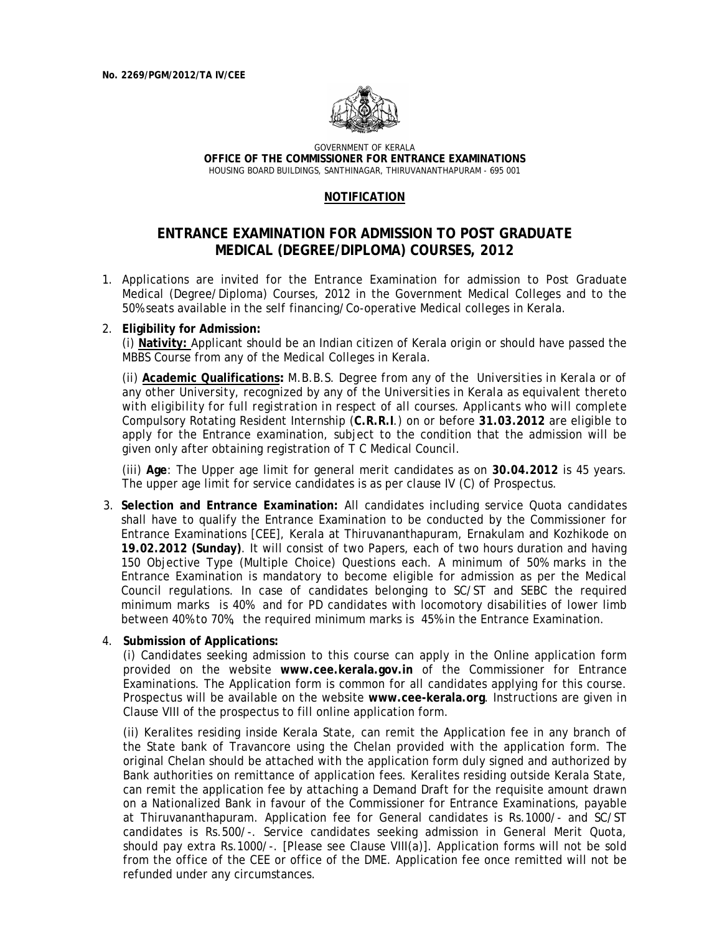

GOVERNMENT OF KERALA **OFFICE OF THE COMMISSIONER FOR ENTRANCE EXAMINATIONS**  HOUSING BOARD BUILDINGS, SANTHINAGAR, THIRUVANANTHAPURAM - 695 001

## **NOTIFICATION**

## **ENTRANCE EXAMINATION FOR ADMISSION TO POST GRADUATE MEDICAL (DEGREE/DIPLOMA) COURSES, 2012**

1. Applications are invited for the Entrance Examination for admission to Post Graduate Medical (Degree/Diploma) Courses, 2012 in the Government Medical Colleges and to the 50% seats available in the self financing/Co-operative Medical colleges in Kerala.

## 2. **Eligibility for Admission:**

(i) **Nativity:** Applicant should be an Indian citizen of Kerala origin or should have passed the MBBS Course from any of the Medical Colleges in Kerala.

(ii) **Academic Qualifications***: M.B.B.S. Degree from any of the Universities in Kerala or of any other University, recognized by any of the Universities in Kerala as equivalent thereto with eligibility for full registration in respect of all courses. Applicants who will complete* Compulsory Rotating Resident Internship (**C.R.R.I**.) on or before **31.03.2012** are eligible to apply for the Entrance examination, subject to the condition that the admission will be given only after obtaining registration of T C Medical Council.

(iii) **Age**: The Upper age limit for general merit candidates as on **30.04.2012** is 45 years. The upper age limit for service candidates is as per clause IV (C) of Prospectus.

3. **Selection and Entrance Examination:** All candidates including service Quota candidates shall have to qualify the Entrance Examination to be conducted by the Commissioner for Entrance Examinations [CEE], Kerala at Thiruvananthapuram, Ernakulam and Kozhikode on **19.02.2012 (Sunday)**. It will consist of two Papers, each of two hours duration and having 150 Objective Type (Multiple Choice) Questions each. A minimum of 50% marks in the Entrance Examination is mandatory to become eligible for admission as per the Medical Council regulations. In case of candidates belonging to SC/ST and SEBC the required minimum marks is 40% and for PD candidates with locomotory disabilities of lower limb between 40% to 70%, the required minimum marks is 45% in the Entrance Examination.

## 4. **Submission of Applications:**

(i) Candidates seeking admission to this course can apply in the Online application form provided on the website **www.cee.kerala.gov.in** of the Commissioner for Entrance Examinations. The Application form is common for all candidates applying for this course. Prospectus will be available on the website **www.cee-kerala.org**. Instructions are given in Clause VIII of the prospectus to fill online application form.

 (ii) Keralites residing inside Kerala State, can remit the Application fee in any branch of the State bank of Travancore using the Chelan provided with the application form. The original Chelan should be attached with the application form duly signed and authorized by Bank authorities on remittance of application fees. Keralites residing outside Kerala State, can remit the application fee by attaching a Demand Draft for the requisite amount drawn on a Nationalized Bank in favour of the Commissioner for Entrance Examinations, payable at Thiruvananthapuram. Application fee for General candidates is Rs.1000/- and SC/ST candidates is Rs.500/-. Service candidates seeking admission in General Merit Quota, should pay extra Rs.1000/-. [Please see Clause VIII(a)]. Application forms will not be sold from the office of the CEE or office of the DME. Application fee once remitted will not be refunded under any circumstances.